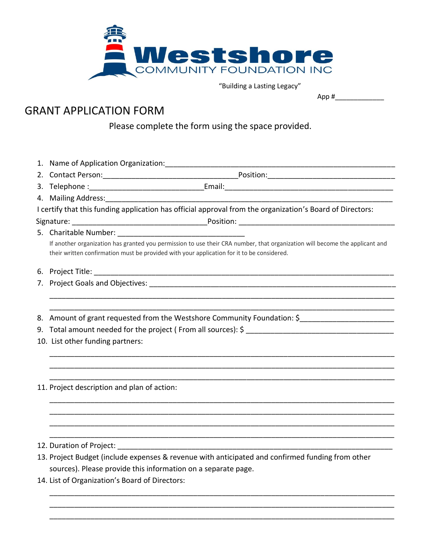

"Building a Lasting Legacy"

## App #\_\_\_\_\_\_\_\_\_\_\_\_\_

## GRANT APPLICATION FORM

Please complete the form using the space provided.

|  | 4. Mailing Address: Marian Communication and Mailing Address:            |                                                                                                                                                                                                                           |
|--|--------------------------------------------------------------------------|---------------------------------------------------------------------------------------------------------------------------------------------------------------------------------------------------------------------------|
|  |                                                                          | I certify that this funding application has official approval from the organization's Board of Directors:                                                                                                                 |
|  |                                                                          |                                                                                                                                                                                                                           |
|  |                                                                          |                                                                                                                                                                                                                           |
|  |                                                                          | If another organization has granted you permission to use their CRA number, that organization will become the applicant and<br>their written confirmation must be provided with your application for it to be considered. |
|  |                                                                          |                                                                                                                                                                                                                           |
|  |                                                                          |                                                                                                                                                                                                                           |
|  |                                                                          |                                                                                                                                                                                                                           |
|  | 8. Amount of grant requested from the Westshore Community Foundation: \$ |                                                                                                                                                                                                                           |
|  |                                                                          |                                                                                                                                                                                                                           |
|  | 10. List other funding partners:                                         |                                                                                                                                                                                                                           |
|  |                                                                          |                                                                                                                                                                                                                           |
|  |                                                                          |                                                                                                                                                                                                                           |
|  | 11. Project description and plan of action:                              |                                                                                                                                                                                                                           |
|  |                                                                          |                                                                                                                                                                                                                           |
|  |                                                                          |                                                                                                                                                                                                                           |
|  |                                                                          |                                                                                                                                                                                                                           |
|  |                                                                          | 13. Project Budget (include expenses & revenue with anticipated and confirmed funding from other                                                                                                                          |
|  | sources). Please provide this information on a separate page.            |                                                                                                                                                                                                                           |
|  |                                                                          |                                                                                                                                                                                                                           |

\_\_\_\_\_\_\_\_\_\_\_\_\_\_\_\_\_\_\_\_\_\_\_\_\_\_\_\_\_\_\_\_\_\_\_\_\_\_\_\_\_\_\_\_\_\_\_\_\_\_\_\_\_\_\_\_\_\_\_\_\_\_\_\_\_\_\_\_\_\_\_\_\_\_\_\_\_\_\_\_\_\_\_\_ \_\_\_\_\_\_\_\_\_\_\_\_\_\_\_\_\_\_\_\_\_\_\_\_\_\_\_\_\_\_\_\_\_\_\_\_\_\_\_\_\_\_\_\_\_\_\_\_\_\_\_\_\_\_\_\_\_\_\_\_\_\_\_\_\_\_\_\_\_\_\_\_\_\_\_\_\_\_\_\_\_\_\_\_